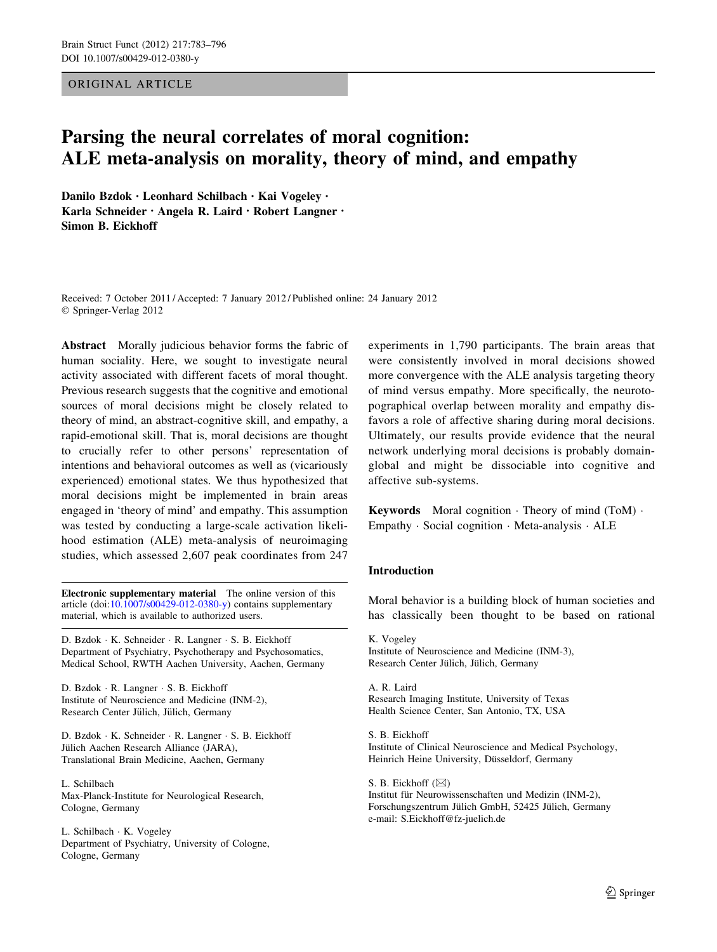#### ORIGINAL ARTICLE

# Parsing the neural correlates of moral cognition: ALE meta-analysis on morality, theory of mind, and empathy

Danilo Bzdok • Leonhard Schilbach • Kai Vogeley • Karla Schneider • Angela R. Laird • Robert Langner • Simon B. Eickhoff

Received: 7 October 2011 / Accepted: 7 January 2012 / Published online: 24 January 2012 © Springer-Verlag 2012

Abstract Morally judicious behavior forms the fabric of human sociality. Here, we sought to investigate neural activity associated with different facets of moral thought. Previous research suggests that the cognitive and emotional sources of moral decisions might be closely related to theory of mind, an abstract-cognitive skill, and empathy, a rapid-emotional skill. That is, moral decisions are thought to crucially refer to other persons' representation of intentions and behavioral outcomes as well as (vicariously experienced) emotional states. We thus hypothesized that moral decisions might be implemented in brain areas engaged in 'theory of mind' and empathy. This assumption was tested by conducting a large-scale activation likelihood estimation (ALE) meta-analysis of neuroimaging studies, which assessed 2,607 peak coordinates from 247

Electronic supplementary material The online version of this article (doi:[10.1007/s00429-012-0380-y\)](http://dx.doi.org/10.1007/s00429-012-0380-y) contains supplementary material, which is available to authorized users.

D. Bzdok - K. Schneider - R. Langner - S. B. Eickhoff Department of Psychiatry, Psychotherapy and Psychosomatics, Medical School, RWTH Aachen University, Aachen, Germany

D. Bzdok - R. Langner - S. B. Eickhoff Institute of Neuroscience and Medicine (INM-2), Research Center Jülich, Jülich, Germany

D. Bzdok - K. Schneider - R. Langner - S. B. Eickhoff Jülich Aachen Research Alliance (JARA), Translational Brain Medicine, Aachen, Germany

L. Schilbach Max-Planck-Institute for Neurological Research, Cologne, Germany

L. Schilbach - K. Vogeley Department of Psychiatry, University of Cologne, Cologne, Germany

experiments in 1,790 participants. The brain areas that were consistently involved in moral decisions showed more convergence with the ALE analysis targeting theory of mind versus empathy. More specifically, the neurotopographical overlap between morality and empathy disfavors a role of affective sharing during moral decisions. Ultimately, our results provide evidence that the neural network underlying moral decisions is probably domainglobal and might be dissociable into cognitive and affective sub-systems.

Keywords Moral cognition - Theory of mind (ToM) - Empathy - Social cognition - Meta-analysis - ALE

#### Introduction

Moral behavior is a building block of human societies and has classically been thought to be based on rational

K. Vogeley Institute of Neuroscience and Medicine (INM-3), Research Center Jülich, Jülich, Germany

A. R. Laird Research Imaging Institute, University of Texas Health Science Center, San Antonio, TX, USA

S. B. Eickhoff Institute of Clinical Neuroscience and Medical Psychology, Heinrich Heine University, Düsseldorf, Germany

S. B. Eickhoff  $(\boxtimes)$ Institut für Neurowissenschaften und Medizin (INM-2), Forschungszentrum Jülich GmbH, 52425 Jülich, Germany e-mail: S.Eickhoff@fz-juelich.de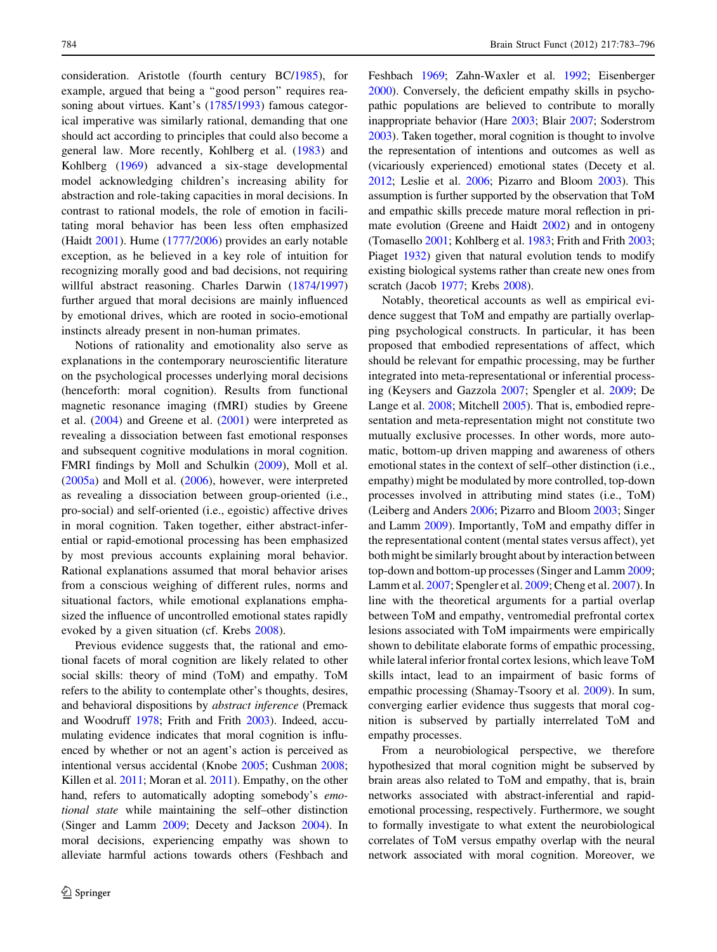consideration. Aristotle (fourth century BC/[1985\)](#page-10-0), for example, argued that being a ''good person'' requires rea-soning about virtues. Kant's ([1785/1993](#page-11-0)) famous categorical imperative was similarly rational, demanding that one should act according to principles that could also become a general law. More recently, Kohlberg et al. ([1983](#page-11-0)) and Kohlberg [\(1969](#page-11-0)) advanced a six-stage developmental model acknowledging children's increasing ability for abstraction and role-taking capacities in moral decisions. In contrast to rational models, the role of emotion in facilitating moral behavior has been less often emphasized (Haidt [2001](#page-11-0)). Hume ([1777/2006](#page-11-0)) provides an early notable exception, as he believed in a key role of intuition for recognizing morally good and bad decisions, not requiring willful abstract reasoning. Charles Darwin [\(1874](#page-10-0)/[1997\)](#page-10-0) further argued that moral decisions are mainly influenced by emotional drives, which are rooted in socio-emotional instincts already present in non-human primates.

Notions of rationality and emotionality also serve as explanations in the contemporary neuroscientific literature on the psychological processes underlying moral decisions (henceforth: moral cognition). Results from functional magnetic resonance imaging (fMRI) studies by Greene et al. ([2004\)](#page-11-0) and Greene et al. ([2001\)](#page-11-0) were interpreted as revealing a dissociation between fast emotional responses and subsequent cognitive modulations in moral cognition. FMRI findings by Moll and Schulkin ([2009\)](#page-12-0), Moll et al. [\(2005a\)](#page-12-0) and Moll et al. [\(2006](#page-12-0)), however, were interpreted as revealing a dissociation between group-oriented (i.e., pro-social) and self-oriented (i.e., egoistic) affective drives in moral cognition. Taken together, either abstract-inferential or rapid-emotional processing has been emphasized by most previous accounts explaining moral behavior. Rational explanations assumed that moral behavior arises from a conscious weighing of different rules, norms and situational factors, while emotional explanations emphasized the influence of uncontrolled emotional states rapidly evoked by a given situation (cf. Krebs [2008\)](#page-11-0).

Previous evidence suggests that, the rational and emotional facets of moral cognition are likely related to other social skills: theory of mind (ToM) and empathy. ToM refers to the ability to contemplate other's thoughts, desires, and behavioral dispositions by abstract inference (Premack and Woodruff [1978](#page-12-0); Frith and Frith [2003](#page-11-0)). Indeed, accumulating evidence indicates that moral cognition is influenced by whether or not an agent's action is perceived as intentional versus accidental (Knobe [2005](#page-11-0); Cushman [2008](#page-10-0); Killen et al. [2011;](#page-11-0) Moran et al. [2011\)](#page-12-0). Empathy, on the other hand, refers to automatically adopting somebody's *emo*tional state while maintaining the self–other distinction (Singer and Lamm [2009;](#page-13-0) Decety and Jackson [2004](#page-10-0)). In moral decisions, experiencing empathy was shown to alleviate harmful actions towards others (Feshbach and Feshbach [1969](#page-11-0); Zahn-Waxler et al. [1992;](#page-13-0) Eisenberger [2000\)](#page-11-0). Conversely, the deficient empathy skills in psychopathic populations are believed to contribute to morally inappropriate behavior (Hare [2003](#page-11-0); Blair [2007](#page-10-0); Soderstrom [2003\)](#page-13-0). Taken together, moral cognition is thought to involve the representation of intentions and outcomes as well as (vicariously experienced) emotional states (Decety et al. [2012;](#page-10-0) Leslie et al. [2006;](#page-12-0) Pizarro and Bloom [2003\)](#page-12-0). This assumption is further supported by the observation that ToM and empathic skills precede mature moral reflection in primate evolution (Greene and Haidt [2002](#page-11-0)) and in ontogeny (Tomasello [2001;](#page-13-0) Kohlberg et al. [1983;](#page-11-0) Frith and Frith [2003](#page-11-0); Piaget [1932](#page-12-0)) given that natural evolution tends to modify existing biological systems rather than create new ones from scratch (Jacob [1977;](#page-11-0) Krebs [2008\)](#page-11-0).

Notably, theoretical accounts as well as empirical evidence suggest that ToM and empathy are partially overlapping psychological constructs. In particular, it has been proposed that embodied representations of affect, which should be relevant for empathic processing, may be further integrated into meta-representational or inferential processing (Keysers and Gazzola [2007](#page-11-0); Spengler et al. [2009](#page-13-0); De Lange et al. [2008;](#page-10-0) Mitchell [2005](#page-12-0)). That is, embodied representation and meta-representation might not constitute two mutually exclusive processes. In other words, more automatic, bottom-up driven mapping and awareness of others emotional states in the context of self–other distinction (i.e., empathy) might be modulated by more controlled, top-down processes involved in attributing mind states (i.e., ToM) (Leiberg and Anders [2006;](#page-12-0) Pizarro and Bloom [2003](#page-12-0); Singer and Lamm [2009](#page-13-0)). Importantly, ToM and empathy differ in the representational content (mental states versus affect), yet both might be similarly brought about by interaction between top-down and bottom-up processes (Singer and Lamm [2009](#page-13-0); Lamm et al. [2007](#page-12-0); Spengler et al. [2009](#page-13-0); Cheng et al. [2007](#page-10-0)). In line with the theoretical arguments for a partial overlap between ToM and empathy, ventromedial prefrontal cortex lesions associated with ToM impairments were empirically shown to debilitate elaborate forms of empathic processing, while lateral inferior frontal cortex lesions, which leave ToM skills intact, lead to an impairment of basic forms of empathic processing (Shamay-Tsoory et al. [2009\)](#page-12-0). In sum, converging earlier evidence thus suggests that moral cognition is subserved by partially interrelated ToM and empathy processes.

From a neurobiological perspective, we therefore hypothesized that moral cognition might be subserved by brain areas also related to ToM and empathy, that is, brain networks associated with abstract-inferential and rapidemotional processing, respectively. Furthermore, we sought to formally investigate to what extent the neurobiological correlates of ToM versus empathy overlap with the neural network associated with moral cognition. Moreover, we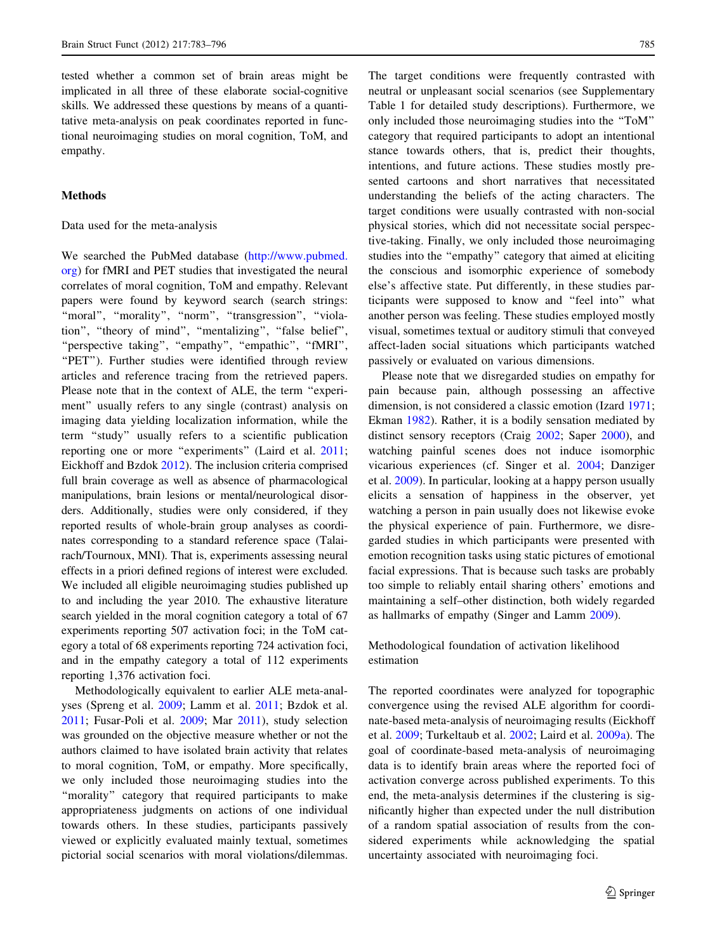tested whether a common set of brain areas might be implicated in all three of these elaborate social-cognitive skills. We addressed these questions by means of a quantitative meta-analysis on peak coordinates reported in functional neuroimaging studies on moral cognition, ToM, and empathy.

#### **Methods**

Data used for the meta-analysis

We searched the PubMed database [\(http://www.pubmed.](http://www.pubmed.org) [org](http://www.pubmed.org)) for fMRI and PET studies that investigated the neural correlates of moral cognition, ToM and empathy. Relevant papers were found by keyword search (search strings: "moral", "morality", "norm", "transgression", "violation'', ''theory of mind'', ''mentalizing'', ''false belief'', ''perspective taking'', ''empathy'', ''empathic'', ''fMRI'', "PET"). Further studies were identified through review articles and reference tracing from the retrieved papers. Please note that in the context of ALE, the term ''experiment'' usually refers to any single (contrast) analysis on imaging data yielding localization information, while the term ''study'' usually refers to a scientific publication reporting one or more "experiments" (Laird et al. [2011](#page-12-0); Eickhoff and Bzdok [2012\)](#page-10-0). The inclusion criteria comprised full brain coverage as well as absence of pharmacological manipulations, brain lesions or mental/neurological disorders. Additionally, studies were only considered, if they reported results of whole-brain group analyses as coordinates corresponding to a standard reference space (Talairach/Tournoux, MNI). That is, experiments assessing neural effects in a priori defined regions of interest were excluded. We included all eligible neuroimaging studies published up to and including the year 2010. The exhaustive literature search yielded in the moral cognition category a total of 67 experiments reporting 507 activation foci; in the ToM category a total of 68 experiments reporting 724 activation foci, and in the empathy category a total of 112 experiments reporting 1,376 activation foci.

Methodologically equivalent to earlier ALE meta-analyses (Spreng et al. [2009](#page-13-0); Lamm et al. [2011](#page-12-0); Bzdok et al. [2011;](#page-10-0) Fusar-Poli et al. [2009;](#page-11-0) Mar [2011](#page-12-0)), study selection was grounded on the objective measure whether or not the authors claimed to have isolated brain activity that relates to moral cognition, ToM, or empathy. More specifically, we only included those neuroimaging studies into the "morality" category that required participants to make appropriateness judgments on actions of one individual towards others. In these studies, participants passively viewed or explicitly evaluated mainly textual, sometimes pictorial social scenarios with moral violations/dilemmas.

The target conditions were frequently contrasted with neutral or unpleasant social scenarios (see Supplementary Table 1 for detailed study descriptions). Furthermore, we only included those neuroimaging studies into the ''ToM'' category that required participants to adopt an intentional stance towards others, that is, predict their thoughts, intentions, and future actions. These studies mostly presented cartoons and short narratives that necessitated understanding the beliefs of the acting characters. The target conditions were usually contrasted with non-social physical stories, which did not necessitate social perspective-taking. Finally, we only included those neuroimaging studies into the ''empathy'' category that aimed at eliciting the conscious and isomorphic experience of somebody else's affective state. Put differently, in these studies participants were supposed to know and ''feel into'' what another person was feeling. These studies employed mostly visual, sometimes textual or auditory stimuli that conveyed affect-laden social situations which participants watched passively or evaluated on various dimensions.

Please note that we disregarded studies on empathy for pain because pain, although possessing an affective dimension, is not considered a classic emotion (Izard [1971](#page-11-0); Ekman [1982\)](#page-11-0). Rather, it is a bodily sensation mediated by distinct sensory receptors (Craig [2002;](#page-10-0) Saper [2000\)](#page-12-0), and watching painful scenes does not induce isomorphic vicarious experiences (cf. Singer et al. [2004](#page-13-0); Danziger et al. [2009\)](#page-10-0). In particular, looking at a happy person usually elicits a sensation of happiness in the observer, yet watching a person in pain usually does not likewise evoke the physical experience of pain. Furthermore, we disregarded studies in which participants were presented with emotion recognition tasks using static pictures of emotional facial expressions. That is because such tasks are probably too simple to reliably entail sharing others' emotions and maintaining a self–other distinction, both widely regarded as hallmarks of empathy (Singer and Lamm [2009](#page-13-0)).

Methodological foundation of activation likelihood estimation

The reported coordinates were analyzed for topographic convergence using the revised ALE algorithm for coordinate-based meta-analysis of neuroimaging results (Eickhoff et al. [2009;](#page-10-0) Turkeltaub et al. [2002](#page-13-0); Laird et al. [2009a](#page-11-0)). The goal of coordinate-based meta-analysis of neuroimaging data is to identify brain areas where the reported foci of activation converge across published experiments. To this end, the meta-analysis determines if the clustering is significantly higher than expected under the null distribution of a random spatial association of results from the considered experiments while acknowledging the spatial uncertainty associated with neuroimaging foci.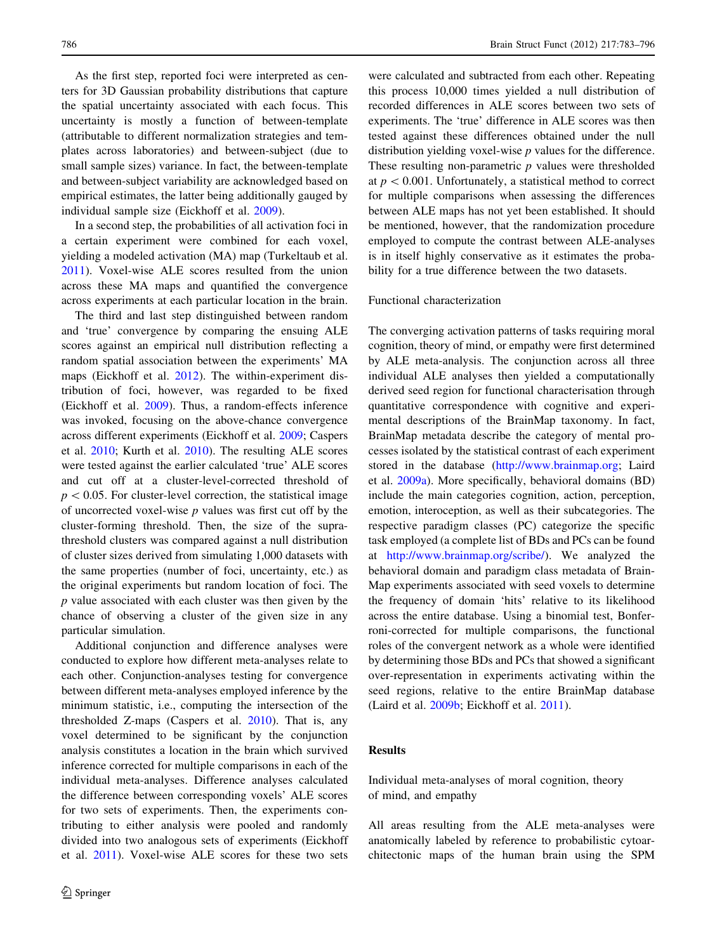As the first step, reported foci were interpreted as centers for 3D Gaussian probability distributions that capture the spatial uncertainty associated with each focus. This uncertainty is mostly a function of between-template (attributable to different normalization strategies and templates across laboratories) and between-subject (due to small sample sizes) variance. In fact, the between-template and between-subject variability are acknowledged based on empirical estimates, the latter being additionally gauged by individual sample size (Eickhoff et al. [2009\)](#page-10-0).

In a second step, the probabilities of all activation foci in a certain experiment were combined for each voxel, yielding a modeled activation (MA) map (Turkeltaub et al. [2011\)](#page-13-0). Voxel-wise ALE scores resulted from the union across these MA maps and quantified the convergence across experiments at each particular location in the brain.

The third and last step distinguished between random and 'true' convergence by comparing the ensuing ALE scores against an empirical null distribution reflecting a random spatial association between the experiments' MA maps (Eickhoff et al. [2012](#page-11-0)). The within-experiment distribution of foci, however, was regarded to be fixed (Eickhoff et al. [2009](#page-10-0)). Thus, a random-effects inference was invoked, focusing on the above-chance convergence across different experiments (Eickhoff et al. [2009;](#page-10-0) Caspers et al. [2010](#page-10-0); Kurth et al. [2010](#page-11-0)). The resulting ALE scores were tested against the earlier calculated 'true' ALE scores and cut off at a cluster-level-corrected threshold of  $p<0.05$ . For cluster-level correction, the statistical image of uncorrected voxel-wise  $p$  values was first cut off by the cluster-forming threshold. Then, the size of the suprathreshold clusters was compared against a null distribution of cluster sizes derived from simulating 1,000 datasets with the same properties (number of foci, uncertainty, etc.) as the original experiments but random location of foci. The p value associated with each cluster was then given by the chance of observing a cluster of the given size in any particular simulation.

Additional conjunction and difference analyses were conducted to explore how different meta-analyses relate to each other. Conjunction-analyses testing for convergence between different meta-analyses employed inference by the minimum statistic, i.e., computing the intersection of the thresholded Z-maps (Caspers et al. [2010\)](#page-10-0). That is, any voxel determined to be significant by the conjunction analysis constitutes a location in the brain which survived inference corrected for multiple comparisons in each of the individual meta-analyses. Difference analyses calculated the difference between corresponding voxels' ALE scores for two sets of experiments. Then, the experiments contributing to either analysis were pooled and randomly divided into two analogous sets of experiments (Eickhoff et al. [2011\)](#page-11-0). Voxel-wise ALE scores for these two sets

were calculated and subtracted from each other. Repeating this process 10,000 times yielded a null distribution of recorded differences in ALE scores between two sets of experiments. The 'true' difference in ALE scores was then tested against these differences obtained under the null distribution yielding voxel-wise  $p$  values for the difference. These resulting non-parametric  $p$  values were thresholded at  $p < 0.001$ . Unfortunately, a statistical method to correct for multiple comparisons when assessing the differences between ALE maps has not yet been established. It should be mentioned, however, that the randomization procedure employed to compute the contrast between ALE-analyses is in itself highly conservative as it estimates the probability for a true difference between the two datasets.

#### Functional characterization

The converging activation patterns of tasks requiring moral cognition, theory of mind, or empathy were first determined by ALE meta-analysis. The conjunction across all three individual ALE analyses then yielded a computationally derived seed region for functional characterisation through quantitative correspondence with cognitive and experimental descriptions of the BrainMap taxonomy. In fact, BrainMap metadata describe the category of mental processes isolated by the statistical contrast of each experiment stored in the database [\(http://www.brainmap.org;](http://www.brainmap.org) Laird et al. [2009a\)](#page-11-0). More specifically, behavioral domains (BD) include the main categories cognition, action, perception, emotion, interoception, as well as their subcategories. The respective paradigm classes (PC) categorize the specific task employed (a complete list of BDs and PCs can be found at [http://www.brainmap.org/scribe/\)](http://www.brainmap.org/scribe/). We analyzed the behavioral domain and paradigm class metadata of Brain-Map experiments associated with seed voxels to determine the frequency of domain 'hits' relative to its likelihood across the entire database. Using a binomial test, Bonferroni-corrected for multiple comparisons, the functional roles of the convergent network as a whole were identified by determining those BDs and PCs that showed a significant over-representation in experiments activating within the seed regions, relative to the entire BrainMap database (Laird et al. [2009b](#page-11-0); Eickhoff et al. [2011](#page-11-0)).

# Results

Individual meta-analyses of moral cognition, theory of mind, and empathy

All areas resulting from the ALE meta-analyses were anatomically labeled by reference to probabilistic cytoarchitectonic maps of the human brain using the SPM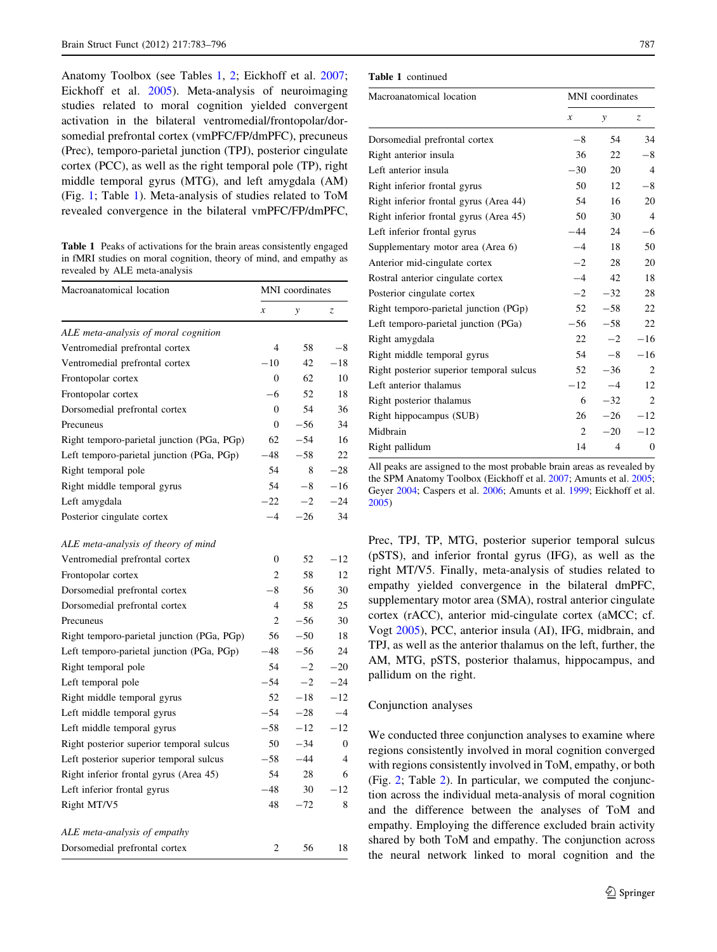<span id="page-4-0"></span>Anatomy Toolbox (see Tables 1, [2](#page-5-0); Eickhoff et al. [2007](#page-10-0); Eickhoff et al. [2005](#page-10-0)). Meta-analysis of neuroimaging studies related to moral cognition yielded convergent activation in the bilateral ventromedial/frontopolar/dorsomedial prefrontal cortex (vmPFC/FP/dmPFC), precuneus (Prec), temporo-parietal junction (TPJ), posterior cingulate cortex (PCC), as well as the right temporal pole (TP), right middle temporal gyrus (MTG), and left amygdala (AM) (Fig. [1](#page-5-0); Table 1). Meta-analysis of studies related to ToM revealed convergence in the bilateral vmPFC/FP/dmPFC,

Table 1 Peaks of activations for the brain areas consistently engaged in fMRI studies on moral cognition, theory of mind, and empathy as revealed by ALE meta-analysis

| Macroanatomical location                   | MNI coordinates |       |          |
|--------------------------------------------|-----------------|-------|----------|
|                                            | $\mathcal{X}$   | y     | Z,       |
| ALE meta-analysis of moral cognition       |                 |       |          |
| Ventromedial prefrontal cortex             | 4               | 58    | $-8$     |
| Ventromedial prefrontal cortex             | $-10$           | 42    | $-18$    |
| Frontopolar cortex                         | 0               | 62    | 10       |
| Frontopolar cortex                         | $-6$            | 52    | 18       |
| Dorsomedial prefrontal cortex              | 0               | 54    | 36       |
| Precuneus                                  | $\overline{0}$  | $-56$ | 34       |
| Right temporo-parietal junction (PGa, PGp) | 62              | $-54$ | 16       |
| Left temporo-parietal junction (PGa, PGp)  | $-48$           | $-58$ | 22.      |
| Right temporal pole                        | 54              | 8     | $-28$    |
| Right middle temporal gyrus                | 54              | $-8$  | $-16$    |
| Left amygdala                              | $-22$           | $-2$  | $-24$    |
| Posterior cingulate cortex                 | $-4$            | $-26$ | 34       |
| ALE meta-analysis of theory of mind        |                 |       |          |
| Ventromedial prefrontal cortex             | 0               | 52    | $-12$    |
| Frontopolar cortex                         | 2               | 58    | 12       |
| Dorsomedial prefrontal cortex              | $-8$            | 56    | 30       |
| Dorsomedial prefrontal cortex              | 4               | 58    | 25       |
| Precuneus                                  | $\overline{c}$  | $-56$ | 30       |
| Right temporo-parietal junction (PGa, PGp) | 56              | $-50$ | 18       |
| Left temporo-parietal junction (PGa, PGp)  | $-48$           | $-56$ | 24       |
| Right temporal pole                        | 54              | $-2$  | $-20$    |
| Left temporal pole                         | $-54$           | $-2$  | $-24$    |
| Right middle temporal gyrus                | 52              | $-18$ | $-12$    |
| Left middle temporal gyrus                 | $-54$           | $-28$ | $-4$     |
| Left middle temporal gyrus                 | $-58$           | $-12$ | $-12$    |
| Right posterior superior temporal sulcus   | 50              | $-34$ | $\Omega$ |
| Left posterior superior temporal sulcus    | $-58$           | $-44$ | 4        |
| Right inferior frontal gyrus (Area 45)     | 54              | 28    | 6        |
| Left inferior frontal gyrus                | $-48$           | 30    | $-12$    |
| Right MT/V5                                | 48              | $-72$ | 8        |
| ALE meta-analysis of empathy               |                 |       |          |
| Dorsomedial prefrontal cortex              | 2               | 56    | 18       |

Table 1 continued

| Macroanatomical location                 | MNI coordinates  |              |                  |
|------------------------------------------|------------------|--------------|------------------|
|                                          | $\boldsymbol{x}$ | $\mathbf{y}$ | $\mathcal{Z}$    |
| Dorsomedial prefrontal cortex            | $-8$             | 54           | 34               |
| Right anterior insula                    | 36               | 22           | $-8$             |
| Left anterior insula                     | $-30$            | 20           | $\overline{4}$   |
| Right inferior frontal gyrus             | 50               | 12           | $-8$             |
| Right inferior frontal gyrus (Area 44)   | 54               | 16           | 20               |
| Right inferior frontal gyrus (Area 45)   | 50               | 30           | $\overline{4}$   |
| Left inferior frontal gyrus              | $-44$            | 24           | $-6$             |
| Supplementary motor area (Area 6)        | $-4$             | 18           | 50               |
| Anterior mid-cingulate cortex            | $-2$             | 28           | 20               |
| Rostral anterior cingulate cortex        | $-4$             | 42           | 18               |
| Posterior cingulate cortex               | $-2$             | $-32$        | 28               |
| Right temporo-parietal junction (PGp)    | 52               | $-58$        | 22               |
| Left temporo-parietal junction (PGa)     | $-56$            | $-58$        | 22               |
| Right amygdala                           | 22               | $-2$         | $-16$            |
| Right middle temporal gyrus              | 54               | $-8$         | $-16$            |
| Right posterior superior temporal sulcus | 52               | $-36$        | 2                |
| Left anterior thalamus                   | $-12$            | $-4$         | 12               |
| Right posterior thalamus                 | 6                | $-32$        | $\overline{2}$   |
| Right hippocampus (SUB)                  | 26               | $-26$        | $-12$            |
| Midbrain                                 | $\overline{c}$   | $-20$        | $-12$            |
| Right pallidum                           | 14               | 4            | $\boldsymbol{0}$ |

All peaks are assigned to the most probable brain areas as revealed by the SPM Anatomy Toolbox (Eickhoff et al. [2007;](#page-10-0) Amunts et al. [2005;](#page-10-0) Geyer [2004;](#page-11-0) Caspers et al. [2006;](#page-10-0) Amunts et al. [1999](#page-10-0); Eickhoff et al. [2005](#page-10-0))

Prec, TPJ, TP, MTG, posterior superior temporal sulcus (pSTS), and inferior frontal gyrus (IFG), as well as the right MT/V5. Finally, meta-analysis of studies related to empathy yielded convergence in the bilateral dmPFC, supplementary motor area (SMA), rostral anterior cingulate cortex (rACC), anterior mid-cingulate cortex (aMCC; cf. Vogt [2005](#page-13-0)), PCC, anterior insula (AI), IFG, midbrain, and TPJ, as well as the anterior thalamus on the left, further, the AM, MTG, pSTS, posterior thalamus, hippocampus, and pallidum on the right.

#### Conjunction analyses

We conducted three conjunction analyses to examine where regions consistently involved in moral cognition converged with regions consistently involved in ToM, empathy, or both (Fig. [2](#page-6-0); Table [2\)](#page-5-0). In particular, we computed the conjunction across the individual meta-analysis of moral cognition and the difference between the analyses of ToM and empathy. Employing the difference excluded brain activity shared by both ToM and empathy. The conjunction across the neural network linked to moral cognition and the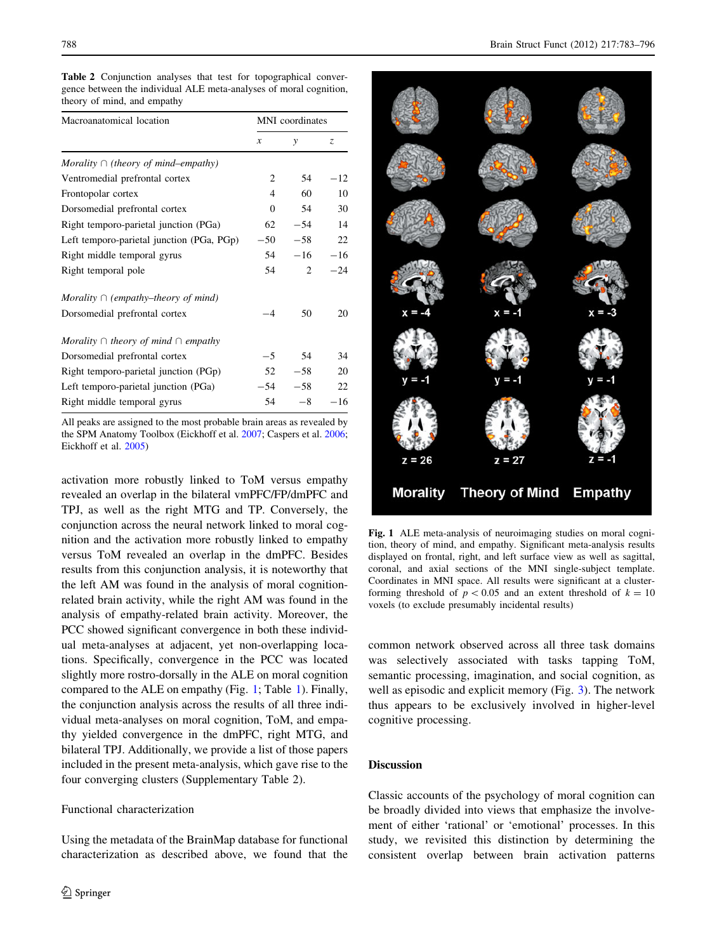<span id="page-5-0"></span>Table 2 Conjunction analyses that test for topographical convergence between the individual ALE meta-analyses of moral cognition, theory of mind, and empathy

| Macroanatomical location                      | MNI coordinates |       |       |
|-----------------------------------------------|-----------------|-------|-------|
|                                               | x               | y     | Z.    |
| Morality $\cap$ (theory of mind–empathy)      |                 |       |       |
| Ventromedial prefrontal cortex                | 2               | 54    | $-12$ |
| Frontopolar cortex                            | 4               | 60    | 10    |
| Dorsomedial prefrontal cortex                 | $\Omega$        | 54    | 30    |
| Right temporo-parietal junction (PGa)         | 62              | $-54$ | 14    |
| Left temporo-parietal junction (PGa, PGp)     | $-50$           | $-58$ | 22    |
| Right middle temporal gyrus                   | 54              | $-16$ | $-16$ |
| Right temporal pole                           | 54              | 2     | $-24$ |
| Morality $\cap$ (empathy–theory of mind)      |                 |       |       |
| Dorsomedial prefrontal cortex                 | $-4$            | 50    | 20    |
| Morality $\cap$ theory of mind $\cap$ empathy |                 |       |       |
| Dorsomedial prefrontal cortex                 | $-5$            | 54    | 34    |
| Right temporo-parietal junction (PGp)         | 52              | $-58$ | 20    |
| Left temporo-parietal junction (PGa)          | $-54$           | $-58$ | 22    |
| Right middle temporal gyrus                   | 54              | $-8$  | $-16$ |

All peaks are assigned to the most probable brain areas as revealed by the SPM Anatomy Toolbox (Eickhoff et al. [2007;](#page-10-0) Caspers et al. [2006;](#page-10-0) Eickhoff et al. [2005\)](#page-10-0)

activation more robustly linked to ToM versus empathy revealed an overlap in the bilateral vmPFC/FP/dmPFC and TPJ, as well as the right MTG and TP. Conversely, the conjunction across the neural network linked to moral cognition and the activation more robustly linked to empathy versus ToM revealed an overlap in the dmPFC. Besides results from this conjunction analysis, it is noteworthy that the left AM was found in the analysis of moral cognitionrelated brain activity, while the right AM was found in the analysis of empathy-related brain activity. Moreover, the PCC showed significant convergence in both these individual meta-analyses at adjacent, yet non-overlapping locations. Specifically, convergence in the PCC was located slightly more rostro-dorsally in the ALE on moral cognition compared to the ALE on empathy (Fig. 1; Table [1\)](#page-4-0). Finally, the conjunction analysis across the results of all three individual meta-analyses on moral cognition, ToM, and empathy yielded convergence in the dmPFC, right MTG, and bilateral TPJ. Additionally, we provide a list of those papers included in the present meta-analysis, which gave rise to the four converging clusters (Supplementary Table 2).

### Functional characterization

Using the metadata of the BrainMap database for functional characterization as described above, we found that the



Fig. 1 ALE meta-analysis of neuroimaging studies on moral cognition, theory of mind, and empathy. Significant meta-analysis results displayed on frontal, right, and left surface view as well as sagittal, coronal, and axial sections of the MNI single-subject template. Coordinates in MNI space. All results were significant at a clusterforming threshold of  $p < 0.05$  and an extent threshold of  $k = 10$ voxels (to exclude presumably incidental results)

common network observed across all three task domains was selectively associated with tasks tapping ToM, semantic processing, imagination, and social cognition, as well as episodic and explicit memory (Fig. [3](#page-7-0)). The network thus appears to be exclusively involved in higher-level cognitive processing.

### **Discussion**

Classic accounts of the psychology of moral cognition can be broadly divided into views that emphasize the involvement of either 'rational' or 'emotional' processes. In this study, we revisited this distinction by determining the consistent overlap between brain activation patterns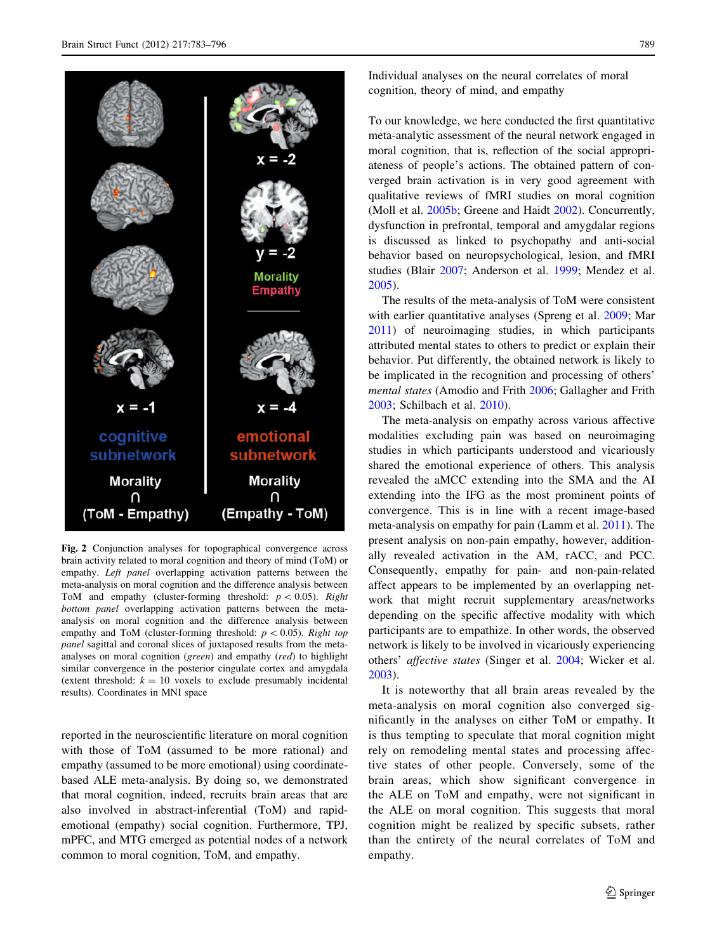<span id="page-6-0"></span>

Fig. 2 Conjunction analyses for topographical convergence across brain activity related to moral cognition and theory of mind (ToM) or empathy. Left panel overlapping activation patterns between the meta-analysis on moral cognition and the difference analysis between ToM and empathy (cluster-forming threshold:  $p < 0.05$ ). Right bottom panel overlapping activation patterns between the metaanalysis on moral cognition and the difference analysis between empathy and ToM (cluster-forming threshold:  $p < 0.05$ ). Right top panel sagittal and coronal slices of juxtaposed results from the metaanalyses on moral cognition (green) and empathy (red) to highlight similar convergence in the posterior cingulate cortex and amygdala (extent threshold:  $k = 10$  voxels to exclude presumably incidental results). Coordinates in MNI space

reported in the neuroscientific literature on moral cognition with those of ToM (assumed to be more rational) and empathy (assumed to be more emotional) using coordinatebased ALE meta-analysis. By doing so, we demonstrated that moral cognition, indeed, recruits brain areas that are also involved in abstract-inferential (ToM) and rapidemotional (empathy) social cognition. Furthermore, TPJ, mPFC, and MTG emerged as potential nodes of a network common to moral cognition, ToM, and empathy.

Individual analyses on the neural correlates of moral cognition, theory of mind, and empathy

To our knowledge, we here conducted the first quantitative meta-analytic assessment of the neural network engaged in moral cognition, that is, reflection of the social appropriateness of people's actions. The obtained pattern of converged brain activation is in very good agreement with qualitative reviews of fMRI studies on moral cognition (Moll et al. [2005b;](#page-12-0) Greene and Haidt [2002](#page-11-0)). Concurrently, dysfunction in prefrontal, temporal and amygdalar regions is discussed as linked to psychopathy and anti-social behavior based on neuropsychological, lesion, and fMRI studies (Blair [2007](#page-10-0); Anderson et al. [1999](#page-10-0); Mendez et al. [2005](#page-12-0)).

The results of the meta-analysis of ToM were consistent with earlier quantitative analyses (Spreng et al. [2009;](#page-13-0) Mar [2011](#page-12-0)) of neuroimaging studies, in which participants attributed mental states to others to predict or explain their behavior. Put differently, the obtained network is likely to be implicated in the recognition and processing of others' mental states (Amodio and Frith [2006;](#page-10-0) Gallagher and Frith [2003](#page-11-0); Schilbach et al. [2010\)](#page-12-0).

The meta-analysis on empathy across various affective modalities excluding pain was based on neuroimaging studies in which participants understood and vicariously shared the emotional experience of others. This analysis revealed the aMCC extending into the SMA and the AI extending into the IFG as the most prominent points of convergence. This is in line with a recent image-based meta-analysis on empathy for pain (Lamm et al. [2011](#page-12-0)). The present analysis on non-pain empathy, however, additionally revealed activation in the AM, rACC, and PCC. Consequently, empathy for pain- and non-pain-related affect appears to be implemented by an overlapping network that might recruit supplementary areas/networks depending on the specific affective modality with which participants are to empathize. In other words, the observed network is likely to be involved in vicariously experiencing others' affective states (Singer et al. [2004](#page-13-0); Wicker et al. [2003](#page-13-0)).

It is noteworthy that all brain areas revealed by the meta-analysis on moral cognition also converged significantly in the analyses on either ToM or empathy. It is thus tempting to speculate that moral cognition might rely on remodeling mental states and processing affective states of other people. Conversely, some of the brain areas, which show significant convergence in the ALE on ToM and empathy, were not significant in the ALE on moral cognition. This suggests that moral cognition might be realized by specific subsets, rather than the entirety of the neural correlates of ToM and empathy.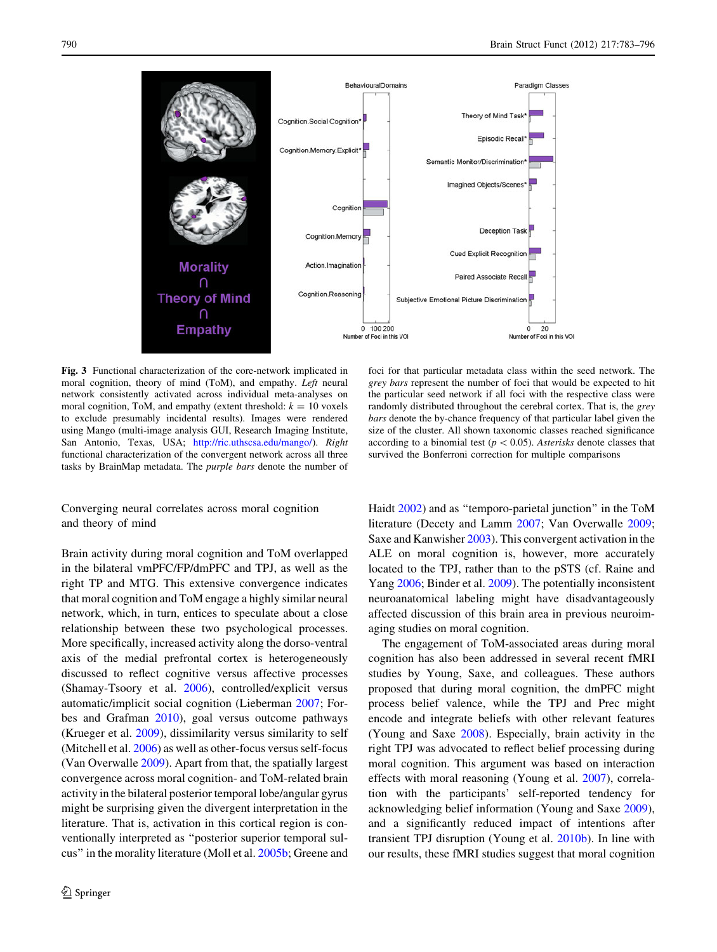<span id="page-7-0"></span>

Fig. 3 Functional characterization of the core-network implicated in moral cognition, theory of mind (ToM), and empathy. Left neural network consistently activated across individual meta-analyses on moral cognition, ToM, and empathy (extent threshold:  $k = 10$  voxels to exclude presumably incidental results). Images were rendered using Mango (multi-image analysis GUI, Research Imaging Institute, San Antonio, Texas, USA; <http://ric.uthscsa.edu/mango/>). Right functional characterization of the convergent network across all three tasks by BrainMap metadata. The purple bars denote the number of

Converging neural correlates across moral cognition and theory of mind

Brain activity during moral cognition and ToM overlapped in the bilateral vmPFC/FP/dmPFC and TPJ, as well as the right TP and MTG. This extensive convergence indicates that moral cognition and ToM engage a highly similar neural network, which, in turn, entices to speculate about a close relationship between these two psychological processes. More specifically, increased activity along the dorso-ventral axis of the medial prefrontal cortex is heterogeneously discussed to reflect cognitive versus affective processes (Shamay-Tsoory et al. [2006\)](#page-12-0), controlled/explicit versus automatic/implicit social cognition (Lieberman [2007;](#page-12-0) Forbes and Grafman [2010\)](#page-11-0), goal versus outcome pathways (Krueger et al. [2009\)](#page-11-0), dissimilarity versus similarity to self (Mitchell et al. [2006\)](#page-12-0) as well as other-focus versus self-focus (Van Overwalle [2009](#page-13-0)). Apart from that, the spatially largest convergence across moral cognition- and ToM-related brain activity in the bilateral posterior temporal lobe/angular gyrus might be surprising given the divergent interpretation in the literature. That is, activation in this cortical region is conventionally interpreted as ''posterior superior temporal sulcus'' in the morality literature (Moll et al. [2005b](#page-12-0); Greene and

foci for that particular metadata class within the seed network. The grey bars represent the number of foci that would be expected to hit the particular seed network if all foci with the respective class were randomly distributed throughout the cerebral cortex. That is, the grey bars denote the by-chance frequency of that particular label given the size of the cluster. All shown taxonomic classes reached significance according to a binomial test ( $p < 0.05$ ). Asterisks denote classes that survived the Bonferroni correction for multiple comparisons

Haidt [2002\)](#page-11-0) and as ''temporo-parietal junction'' in the ToM literature (Decety and Lamm [2007](#page-10-0); Van Overwalle [2009](#page-13-0); Saxe and Kanwisher [2003](#page-12-0)). This convergent activation in the ALE on moral cognition is, however, more accurately located to the TPJ, rather than to the pSTS (cf. Raine and Yang [2006;](#page-12-0) Binder et al. [2009\)](#page-10-0). The potentially inconsistent neuroanatomical labeling might have disadvantageously affected discussion of this brain area in previous neuroimaging studies on moral cognition.

The engagement of ToM-associated areas during moral cognition has also been addressed in several recent fMRI studies by Young, Saxe, and colleagues. These authors proposed that during moral cognition, the dmPFC might process belief valence, while the TPJ and Prec might encode and integrate beliefs with other relevant features (Young and Saxe [2008\)](#page-13-0). Especially, brain activity in the right TPJ was advocated to reflect belief processing during moral cognition. This argument was based on interaction effects with moral reasoning (Young et al. [2007\)](#page-13-0), correlation with the participants' self-reported tendency for acknowledging belief information (Young and Saxe [2009](#page-13-0)), and a significantly reduced impact of intentions after transient TPJ disruption (Young et al. [2010b\)](#page-13-0). In line with our results, these fMRI studies suggest that moral cognition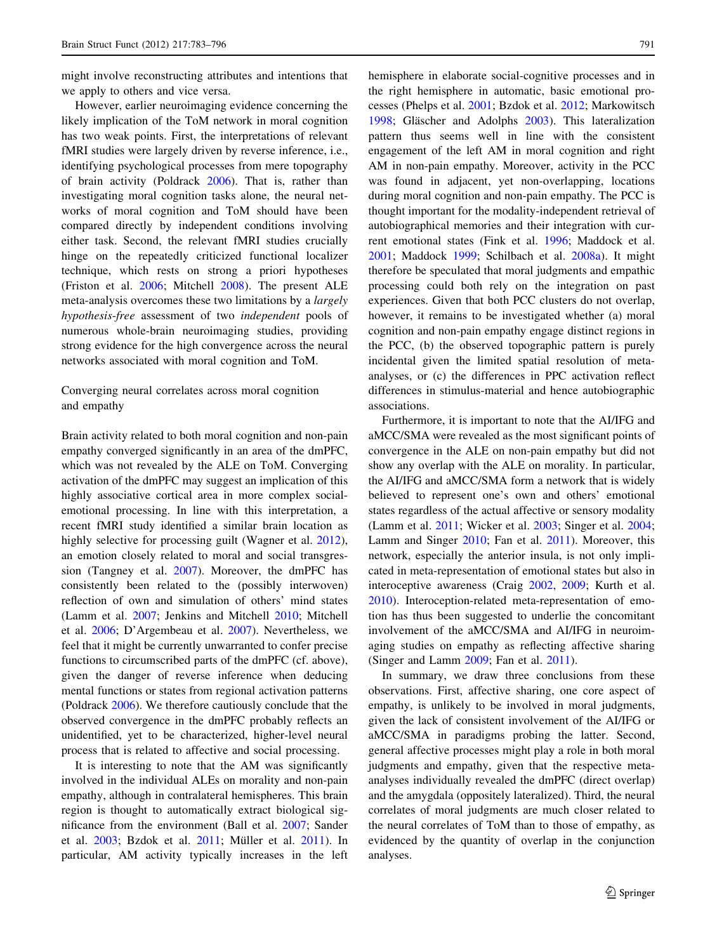might involve reconstructing attributes and intentions that we apply to others and vice versa.

However, earlier neuroimaging evidence concerning the likely implication of the ToM network in moral cognition has two weak points. First, the interpretations of relevant fMRI studies were largely driven by reverse inference, i.e., identifying psychological processes from mere topography of brain activity (Poldrack [2006](#page-12-0)). That is, rather than investigating moral cognition tasks alone, the neural networks of moral cognition and ToM should have been compared directly by independent conditions involving either task. Second, the relevant fMRI studies crucially hinge on the repeatedly criticized functional localizer technique, which rests on strong a priori hypotheses (Friston et al. [2006;](#page-11-0) Mitchell [2008](#page-12-0)). The present ALE meta-analysis overcomes these two limitations by a largely hypothesis-free assessment of two independent pools of numerous whole-brain neuroimaging studies, providing strong evidence for the high convergence across the neural networks associated with moral cognition and ToM.

# Converging neural correlates across moral cognition and empathy

Brain activity related to both moral cognition and non-pain empathy converged significantly in an area of the dmPFC, which was not revealed by the ALE on ToM. Converging activation of the dmPFC may suggest an implication of this highly associative cortical area in more complex socialemotional processing. In line with this interpretation, a recent fMRI study identified a similar brain location as highly selective for processing guilt (Wagner et al. [2012](#page-13-0)), an emotion closely related to moral and social transgression (Tangney et al. [2007](#page-13-0)). Moreover, the dmPFC has consistently been related to the (possibly interwoven) reflection of own and simulation of others' mind states (Lamm et al. [2007](#page-12-0); Jenkins and Mitchell [2010](#page-11-0); Mitchell et al. [2006](#page-12-0); D'Argembeau et al. [2007](#page-10-0)). Nevertheless, we feel that it might be currently unwarranted to confer precise functions to circumscribed parts of the dmPFC (cf. above), given the danger of reverse inference when deducing mental functions or states from regional activation patterns (Poldrack [2006\)](#page-12-0). We therefore cautiously conclude that the observed convergence in the dmPFC probably reflects an unidentified, yet to be characterized, higher-level neural process that is related to affective and social processing.

It is interesting to note that the AM was significantly involved in the individual ALEs on morality and non-pain empathy, although in contralateral hemispheres. This brain region is thought to automatically extract biological significance from the environment (Ball et al. [2007;](#page-10-0) Sander et al. [2003;](#page-12-0) Bzdok et al. [2011](#page-12-0); Müller et al. 2011). In particular, AM activity typically increases in the left hemisphere in elaborate social-cognitive processes and in the right hemisphere in automatic, basic emotional processes (Phelps et al. [2001](#page-12-0); Bzdok et al. [2012;](#page-10-0) Markowitsch [1998](#page-12-0); Gläscher and Adolphs [2003](#page-11-0)). This lateralization pattern thus seems well in line with the consistent engagement of the left AM in moral cognition and right AM in non-pain empathy. Moreover, activity in the PCC was found in adjacent, yet non-overlapping, locations during moral cognition and non-pain empathy. The PCC is thought important for the modality-independent retrieval of autobiographical memories and their integration with current emotional states (Fink et al. [1996](#page-11-0); Maddock et al. [2001](#page-12-0); Maddock [1999](#page-12-0); Schilbach et al. [2008a](#page-12-0)). It might therefore be speculated that moral judgments and empathic processing could both rely on the integration on past experiences. Given that both PCC clusters do not overlap, however, it remains to be investigated whether (a) moral cognition and non-pain empathy engage distinct regions in the PCC, (b) the observed topographic pattern is purely incidental given the limited spatial resolution of metaanalyses, or (c) the differences in PPC activation reflect differences in stimulus-material and hence autobiographic associations.

Furthermore, it is important to note that the AI/IFG and aMCC/SMA were revealed as the most significant points of convergence in the ALE on non-pain empathy but did not show any overlap with the ALE on morality. In particular, the AI/IFG and aMCC/SMA form a network that is widely believed to represent one's own and others' emotional states regardless of the actual affective or sensory modality (Lamm et al. [2011;](#page-12-0) Wicker et al. [2003](#page-13-0); Singer et al. [2004](#page-13-0); Lamm and Singer [2010](#page-12-0); Fan et al. [2011](#page-11-0)). Moreover, this network, especially the anterior insula, is not only implicated in meta-representation of emotional states but also in interoceptive awareness (Craig [2002](#page-10-0), [2009;](#page-10-0) Kurth et al. [2010](#page-11-0)). Interoception-related meta-representation of emotion has thus been suggested to underlie the concomitant involvement of the aMCC/SMA and AI/IFG in neuroimaging studies on empathy as reflecting affective sharing (Singer and Lamm [2009](#page-13-0); Fan et al. [2011](#page-11-0)).

In summary, we draw three conclusions from these observations. First, affective sharing, one core aspect of empathy, is unlikely to be involved in moral judgments, given the lack of consistent involvement of the AI/IFG or aMCC/SMA in paradigms probing the latter. Second, general affective processes might play a role in both moral judgments and empathy, given that the respective metaanalyses individually revealed the dmPFC (direct overlap) and the amygdala (oppositely lateralized). Third, the neural correlates of moral judgments are much closer related to the neural correlates of ToM than to those of empathy, as evidenced by the quantity of overlap in the conjunction analyses.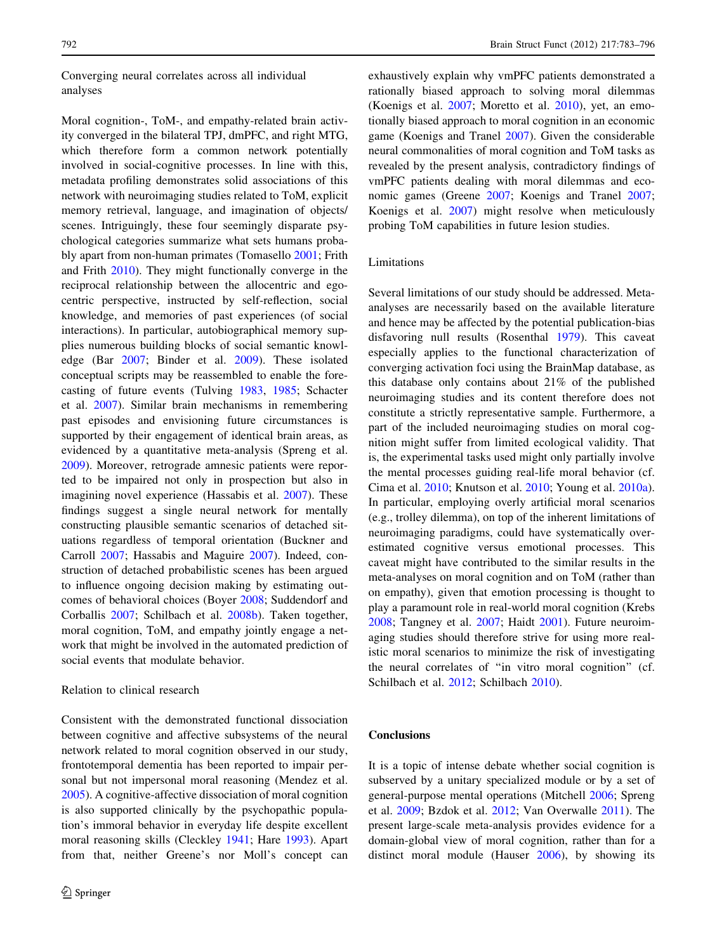# Converging neural correlates across all individual analyses

Moral cognition-, ToM-, and empathy-related brain activity converged in the bilateral TPJ, dmPFC, and right MTG, which therefore form a common network potentially involved in social-cognitive processes. In line with this, metadata profiling demonstrates solid associations of this network with neuroimaging studies related to ToM, explicit memory retrieval, language, and imagination of objects/ scenes. Intriguingly, these four seemingly disparate psychological categories summarize what sets humans probably apart from non-human primates (Tomasello [2001](#page-13-0); Frith and Frith [2010](#page-11-0)). They might functionally converge in the reciprocal relationship between the allocentric and egocentric perspective, instructed by self-reflection, social knowledge, and memories of past experiences (of social interactions). In particular, autobiographical memory supplies numerous building blocks of social semantic knowledge (Bar [2007](#page-10-0); Binder et al. [2009\)](#page-10-0). These isolated conceptual scripts may be reassembled to enable the forecasting of future events (Tulving [1983,](#page-13-0) [1985;](#page-13-0) Schacter et al. [2007\)](#page-12-0). Similar brain mechanisms in remembering past episodes and envisioning future circumstances is supported by their engagement of identical brain areas, as evidenced by a quantitative meta-analysis (Spreng et al. [2009\)](#page-13-0). Moreover, retrograde amnesic patients were reported to be impaired not only in prospection but also in imagining novel experience (Hassabis et al. [2007\)](#page-11-0). These findings suggest a single neural network for mentally constructing plausible semantic scenarios of detached situations regardless of temporal orientation (Buckner and Carroll [2007;](#page-10-0) Hassabis and Maguire [2007](#page-11-0)). Indeed, construction of detached probabilistic scenes has been argued to influence ongoing decision making by estimating outcomes of behavioral choices (Boyer [2008;](#page-10-0) Suddendorf and Corballis [2007](#page-13-0); Schilbach et al. [2008b](#page-12-0)). Taken together, moral cognition, ToM, and empathy jointly engage a network that might be involved in the automated prediction of social events that modulate behavior.

### Relation to clinical research

Consistent with the demonstrated functional dissociation between cognitive and affective subsystems of the neural network related to moral cognition observed in our study, frontotemporal dementia has been reported to impair personal but not impersonal moral reasoning (Mendez et al. [2005\)](#page-12-0). A cognitive-affective dissociation of moral cognition is also supported clinically by the psychopathic population's immoral behavior in everyday life despite excellent moral reasoning skills (Cleckley [1941;](#page-10-0) Hare [1993\)](#page-11-0). Apart from that, neither Greene's nor Moll's concept can exhaustively explain why vmPFC patients demonstrated a rationally biased approach to solving moral dilemmas (Koenigs et al. [2007](#page-11-0); Moretto et al. [2010](#page-12-0)), yet, an emotionally biased approach to moral cognition in an economic game (Koenigs and Tranel [2007\)](#page-11-0). Given the considerable neural commonalities of moral cognition and ToM tasks as revealed by the present analysis, contradictory findings of vmPFC patients dealing with moral dilemmas and economic games (Greene [2007](#page-11-0); Koenigs and Tranel [2007](#page-11-0); Koenigs et al. [2007](#page-11-0)) might resolve when meticulously probing ToM capabilities in future lesion studies.

# Limitations

Several limitations of our study should be addressed. Metaanalyses are necessarily based on the available literature and hence may be affected by the potential publication-bias disfavoring null results (Rosenthal [1979](#page-12-0)). This caveat especially applies to the functional characterization of converging activation foci using the BrainMap database, as this database only contains about 21% of the published neuroimaging studies and its content therefore does not constitute a strictly representative sample. Furthermore, a part of the included neuroimaging studies on moral cognition might suffer from limited ecological validity. That is, the experimental tasks used might only partially involve the mental processes guiding real-life moral behavior (cf. Cima et al. [2010;](#page-10-0) Knutson et al. [2010;](#page-11-0) Young et al. [2010a](#page-13-0)). In particular, employing overly artificial moral scenarios (e.g., trolley dilemma), on top of the inherent limitations of neuroimaging paradigms, could have systematically overestimated cognitive versus emotional processes. This caveat might have contributed to the similar results in the meta-analyses on moral cognition and on ToM (rather than on empathy), given that emotion processing is thought to play a paramount role in real-world moral cognition (Krebs [2008](#page-11-0); Tangney et al. [2007;](#page-13-0) Haidt [2001](#page-11-0)). Future neuroimaging studies should therefore strive for using more realistic moral scenarios to minimize the risk of investigating the neural correlates of ''in vitro moral cognition'' (cf. Schilbach et al. [2012;](#page-12-0) Schilbach [2010\)](#page-12-0).

### **Conclusions**

It is a topic of intense debate whether social cognition is subserved by a unitary specialized module or by a set of general-purpose mental operations (Mitchell [2006;](#page-12-0) Spreng et al. [2009;](#page-13-0) Bzdok et al. [2012;](#page-10-0) Van Overwalle [2011\)](#page-13-0). The present large-scale meta-analysis provides evidence for a domain-global view of moral cognition, rather than for a distinct moral module (Hauser [2006](#page-11-0)), by showing its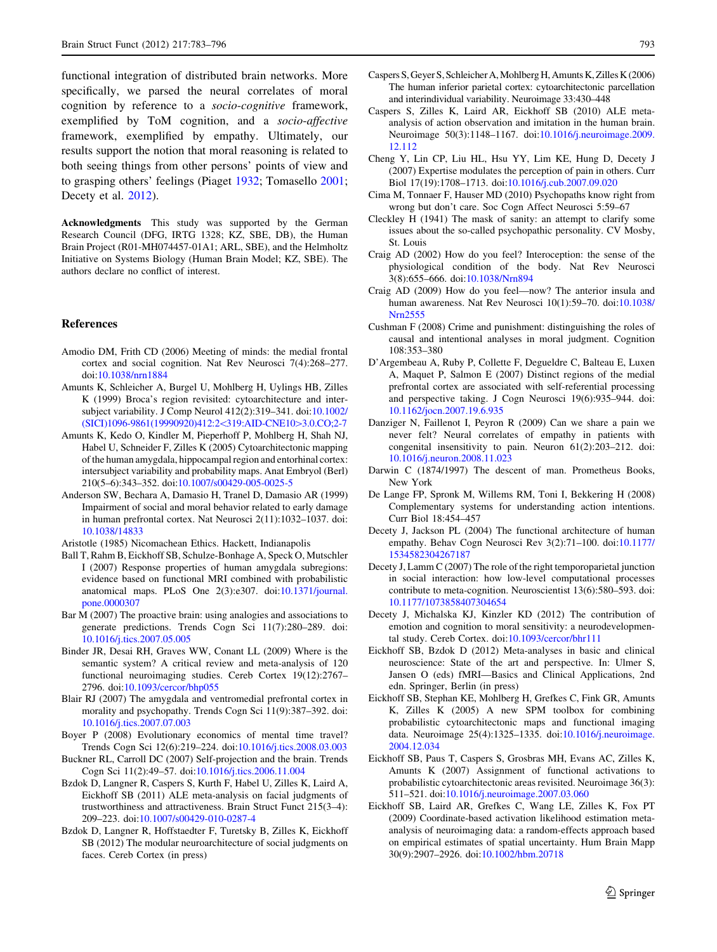<span id="page-10-0"></span>functional integration of distributed brain networks. More specifically, we parsed the neural correlates of moral cognition by reference to a socio-cognitive framework, exemplified by ToM cognition, and a socio-affective framework, exemplified by empathy. Ultimately, our results support the notion that moral reasoning is related to both seeing things from other persons' points of view and to grasping others' feelings (Piaget [1932](#page-12-0); Tomasello [2001](#page-13-0); Decety et al. 2012).

Acknowledgments This study was supported by the German Research Council (DFG, IRTG 1328; KZ, SBE, DB), the Human Brain Project (R01-MH074457-01A1; ARL, SBE), and the Helmholtz Initiative on Systems Biology (Human Brain Model; KZ, SBE). The authors declare no conflict of interest.

#### References

- Amodio DM, Frith CD (2006) Meeting of minds: the medial frontal cortex and social cognition. Nat Rev Neurosci 7(4):268–277. doi[:10.1038/nrn1884](http://dx.doi.org/10.1038/nrn1884)
- Amunts K, Schleicher A, Burgel U, Mohlberg H, Uylings HB, Zilles K (1999) Broca's region revisited: cytoarchitecture and intersubject variability. J Comp Neurol 412(2):319–341. doi[:10.1002/](http://dx.doi.org/10.1002/(SICI)1096-9861(19990920)412:2%3c319:AID-CNE10%3e3.0.CO;2-7) [\(SICI\)1096-9861\(19990920\)412:2](http://dx.doi.org/10.1002/(SICI)1096-9861(19990920)412:2%3c319:AID-CNE10%3e3.0.CO;2-7)<319:AID-CNE10>3.0.CO;2-7
- Amunts K, Kedo O, Kindler M, Pieperhoff P, Mohlberg H, Shah NJ, Habel U, Schneider F, Zilles K (2005) Cytoarchitectonic mapping of the human amygdala, hippocampal region and entorhinal cortex: intersubject variability and probability maps. Anat Embryol (Berl) 210(5–6):343–352. doi:[10.1007/s00429-005-0025-5](http://dx.doi.org/10.1007/s00429-005-0025-5)
- Anderson SW, Bechara A, Damasio H, Tranel D, Damasio AR (1999) Impairment of social and moral behavior related to early damage in human prefrontal cortex. Nat Neurosci 2(11):1032–1037. doi: [10.1038/14833](http://dx.doi.org/10.1038/14833)
- Aristotle (1985) Nicomachean Ethics. Hackett, Indianapolis
- Ball T, Rahm B, Eickhoff SB, Schulze-Bonhage A, Speck O, Mutschler I (2007) Response properties of human amygdala subregions: evidence based on functional MRI combined with probabilistic anatomical maps. PLoS One 2(3):e307. doi[:10.1371/journal.](http://dx.doi.org/10.1371/journal.pone.0000307) [pone.0000307](http://dx.doi.org/10.1371/journal.pone.0000307)
- Bar M (2007) The proactive brain: using analogies and associations to generate predictions. Trends Cogn Sci 11(7):280–289. doi: [10.1016/j.tics.2007.05.005](http://dx.doi.org/10.1016/j.tics.2007.05.005)
- Binder JR, Desai RH, Graves WW, Conant LL (2009) Where is the semantic system? A critical review and meta-analysis of 120 functional neuroimaging studies. Cereb Cortex 19(12):2767– 2796. doi[:10.1093/cercor/bhp055](http://dx.doi.org/10.1093/cercor/bhp055)
- Blair RJ (2007) The amygdala and ventromedial prefrontal cortex in morality and psychopathy. Trends Cogn Sci 11(9):387–392. doi: [10.1016/j.tics.2007.07.003](http://dx.doi.org/10.1016/j.tics.2007.07.003)
- Boyer P (2008) Evolutionary economics of mental time travel? Trends Cogn Sci 12(6):219–224. doi:[10.1016/j.tics.2008.03.003](http://dx.doi.org/10.1016/j.tics.2008.03.003)
- Buckner RL, Carroll DC (2007) Self-projection and the brain. Trends Cogn Sci 11(2):49–57. doi:[10.1016/j.tics.2006.11.004](http://dx.doi.org/10.1016/j.tics.2006.11.004)
- Bzdok D, Langner R, Caspers S, Kurth F, Habel U, Zilles K, Laird A, Eickhoff SB (2011) ALE meta-analysis on facial judgments of trustworthiness and attractiveness. Brain Struct Funct 215(3–4): 209–223. doi:[10.1007/s00429-010-0287-4](http://dx.doi.org/10.1007/s00429-010-0287-4)
- Bzdok D, Langner R, Hoffstaedter F, Turetsky B, Zilles K, Eickhoff SB (2012) The modular neuroarchitecture of social judgments on faces. Cereb Cortex (in press)
- Caspers S, Geyer S, Schleicher A, Mohlberg H, Amunts K, Zilles K (2006) The human inferior parietal cortex: cytoarchitectonic parcellation and interindividual variability. Neuroimage 33:430–448
- Caspers S, Zilles K, Laird AR, Eickhoff SB (2010) ALE metaanalysis of action observation and imitation in the human brain. Neuroimage 50(3):1148–1167. doi[:10.1016/j.neuroimage.2009.](http://dx.doi.org/10.1016/j.neuroimage.2009.12.112) [12.112](http://dx.doi.org/10.1016/j.neuroimage.2009.12.112)
- Cheng Y, Lin CP, Liu HL, Hsu YY, Lim KE, Hung D, Decety J (2007) Expertise modulates the perception of pain in others. Curr Biol 17(19):1708–1713. doi:[10.1016/j.cub.2007.09.020](http://dx.doi.org/10.1016/j.cub.2007.09.020)
- Cima M, Tonnaer F, Hauser MD (2010) Psychopaths know right from wrong but don't care. Soc Cogn Affect Neurosci 5:59–67
- Cleckley H (1941) The mask of sanity: an attempt to clarify some issues about the so-called psychopathic personality. CV Mosby, St. Louis
- Craig AD (2002) How do you feel? Interoception: the sense of the physiological condition of the body. Nat Rev Neurosci 3(8):655–666. doi[:10.1038/Nrn894](http://dx.doi.org/10.1038/Nrn894)
- Craig AD (2009) How do you feel—now? The anterior insula and human awareness. Nat Rev Neurosci 10(1):59–70. doi[:10.1038/](http://dx.doi.org/10.1038/Nrn2555) [Nrn2555](http://dx.doi.org/10.1038/Nrn2555)
- Cushman F (2008) Crime and punishment: distinguishing the roles of causal and intentional analyses in moral judgment. Cognition 108:353–380
- D'Argembeau A, Ruby P, Collette F, Degueldre C, Balteau E, Luxen A, Maquet P, Salmon E (2007) Distinct regions of the medial prefrontal cortex are associated with self-referential processing and perspective taking. J Cogn Neurosci 19(6):935–944. doi: [10.1162/jocn.2007.19.6.935](http://dx.doi.org/10.1162/jocn.2007.19.6.935)
- Danziger N, Faillenot I, Peyron R (2009) Can we share a pain we never felt? Neural correlates of empathy in patients with congenital insensitivity to pain. Neuron 61(2):203–212. doi: [10.1016/j.neuron.2008.11.023](http://dx.doi.org/10.1016/j.neuron.2008.11.023)
- Darwin C (1874/1997) The descent of man. Prometheus Books, New York
- De Lange FP, Spronk M, Willems RM, Toni I, Bekkering H (2008) Complementary systems for understanding action intentions. Curr Biol 18:454–457
- Decety J, Jackson PL (2004) The functional architecture of human empathy. Behav Cogn Neurosci Rev 3(2):71–100. doi[:10.1177/](http://dx.doi.org/10.1177/1534582304267187) [1534582304267187](http://dx.doi.org/10.1177/1534582304267187)
- Decety J, Lamm C (2007) The role of the right temporoparietal junction in social interaction: how low-level computational processes contribute to meta-cognition. Neuroscientist 13(6):580–593. doi: [10.1177/1073858407304654](http://dx.doi.org/10.1177/1073858407304654)
- Decety J, Michalska KJ, Kinzler KD (2012) The contribution of emotion and cognition to moral sensitivity: a neurodevelopmental study. Cereb Cortex. doi[:10.1093/cercor/bhr111](http://dx.doi.org/10.1093/cercor/bhr111)
- Eickhoff SB, Bzdok D (2012) Meta-analyses in basic and clinical neuroscience: State of the art and perspective. In: Ulmer S, Jansen O (eds) fMRI—Basics and Clinical Applications, 2nd edn. Springer, Berlin (in press)
- Eickhoff SB, Stephan KE, Mohlberg H, Grefkes C, Fink GR, Amunts K, Zilles K (2005) A new SPM toolbox for combining probabilistic cytoarchitectonic maps and functional imaging data. Neuroimage 25(4):1325–1335. doi:[10.1016/j.neuroimage.](http://dx.doi.org/10.1016/j.neuroimage.2004.12.034) [2004.12.034](http://dx.doi.org/10.1016/j.neuroimage.2004.12.034)
- Eickhoff SB, Paus T, Caspers S, Grosbras MH, Evans AC, Zilles K, Amunts K (2007) Assignment of functional activations to probabilistic cytoarchitectonic areas revisited. Neuroimage 36(3): 511–521. doi[:10.1016/j.neuroimage.2007.03.060](http://dx.doi.org/10.1016/j.neuroimage.2007.03.060)
- Eickhoff SB, Laird AR, Grefkes C, Wang LE, Zilles K, Fox PT (2009) Coordinate-based activation likelihood estimation metaanalysis of neuroimaging data: a random-effects approach based on empirical estimates of spatial uncertainty. Hum Brain Mapp 30(9):2907–2926. doi[:10.1002/hbm.20718](http://dx.doi.org/10.1002/hbm.20718)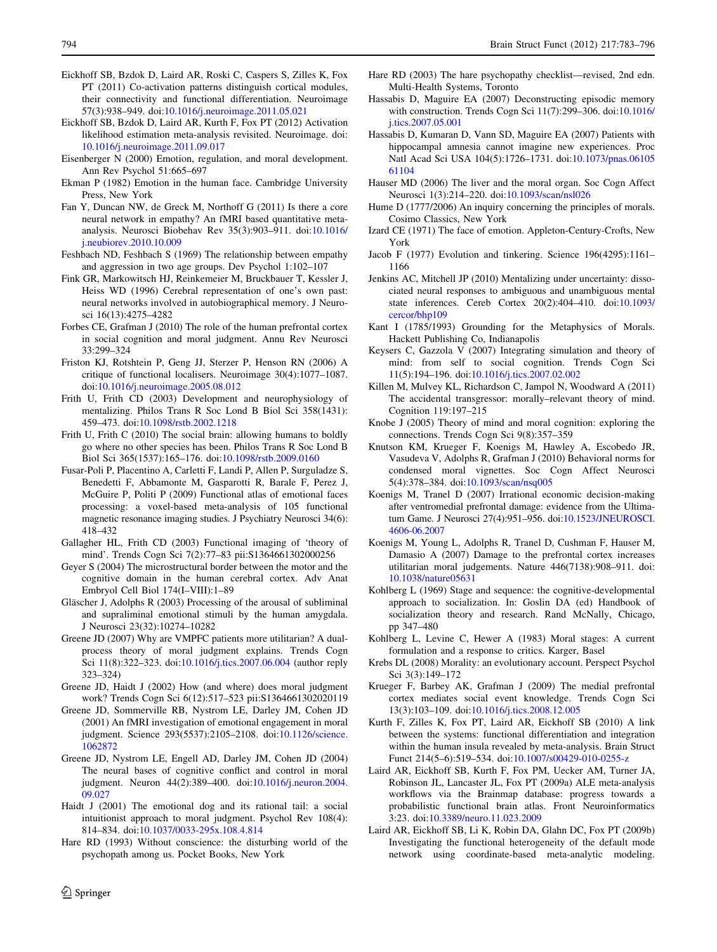- <span id="page-11-0"></span>Eickhoff SB, Bzdok D, Laird AR, Roski C, Caspers S, Zilles K, Fox PT (2011) Co-activation patterns distinguish cortical modules, their connectivity and functional differentiation. Neuroimage 57(3):938–949. doi:[10.1016/j.neuroimage.2011.05.021](http://dx.doi.org/10.1016/j.neuroimage.2011.05.021)
- Eickhoff SB, Bzdok D, Laird AR, Kurth F, Fox PT (2012) Activation likelihood estimation meta-analysis revisited. Neuroimage. doi: [10.1016/j.neuroimage.2011.09.017](http://dx.doi.org/10.1016/j.neuroimage.2011.09.017)
- Eisenberger N (2000) Emotion, regulation, and moral development. Ann Rev Psychol 51:665–697
- Ekman P (1982) Emotion in the human face. Cambridge University Press, New York
- Fan Y, Duncan NW, de Greck M, Northoff G (2011) Is there a core neural network in empathy? An fMRI based quantitative metaanalysis. Neurosci Biobehav Rev 35(3):903–911. doi[:10.1016/](http://dx.doi.org/10.1016/j.neubiorev.2010.10.009) [j.neubiorev.2010.10.009](http://dx.doi.org/10.1016/j.neubiorev.2010.10.009)
- Feshbach ND, Feshbach S (1969) The relationship between empathy and aggression in two age groups. Dev Psychol 1:102–107
- Fink GR, Markowitsch HJ, Reinkemeier M, Bruckbauer T, Kessler J, Heiss WD (1996) Cerebral representation of one's own past: neural networks involved in autobiographical memory. J Neurosci 16(13):4275–4282
- Forbes CE, Grafman J (2010) The role of the human prefrontal cortex in social cognition and moral judgment. Annu Rev Neurosci 33:299–324
- Friston KJ, Rotshtein P, Geng JJ, Sterzer P, Henson RN (2006) A critique of functional localisers. Neuroimage 30(4):1077–1087. doi[:10.1016/j.neuroimage.2005.08.012](http://dx.doi.org/10.1016/j.neuroimage.2005.08.012)
- Frith U, Frith CD (2003) Development and neurophysiology of mentalizing. Philos Trans R Soc Lond B Biol Sci 358(1431): 459–473. doi:[10.1098/rstb.2002.1218](http://dx.doi.org/10.1098/rstb.2002.1218)
- Frith U, Frith C (2010) The social brain: allowing humans to boldly go where no other species has been. Philos Trans R Soc Lond B Biol Sci 365(1537):165–176. doi:[10.1098/rstb.2009.0160](http://dx.doi.org/10.1098/rstb.2009.0160)
- Fusar-Poli P, Placentino A, Carletti F, Landi P, Allen P, Surguladze S, Benedetti F, Abbamonte M, Gasparotti R, Barale F, Perez J, McGuire P, Politi P (2009) Functional atlas of emotional faces processing: a voxel-based meta-analysis of 105 functional magnetic resonance imaging studies. J Psychiatry Neurosci 34(6): 418–432
- Gallagher HL, Frith CD (2003) Functional imaging of 'theory of mind'. Trends Cogn Sci 7(2):77–83 pii:S1364661302000256
- Geyer S (2004) The microstructural border between the motor and the cognitive domain in the human cerebral cortex. Adv Anat Embryol Cell Biol 174(I–VIII):1–89
- Gläscher J, Adolphs R (2003) Processing of the arousal of subliminal and supraliminal emotional stimuli by the human amygdala. J Neurosci 23(32):10274–10282
- Greene JD (2007) Why are VMPFC patients more utilitarian? A dualprocess theory of moral judgment explains. Trends Cogn Sci 11(8):322–323. doi:[10.1016/j.tics.2007.06.004](http://dx.doi.org/10.1016/j.tics.2007.06.004) (author reply 323–324)
- Greene JD, Haidt J (2002) How (and where) does moral judgment work? Trends Cogn Sci 6(12):517–523 pii:S1364661302020119
- Greene JD, Sommerville RB, Nystrom LE, Darley JM, Cohen JD (2001) An fMRI investigation of emotional engagement in moral judgment. Science 293(5537):2105–2108. doi[:10.1126/science.](http://dx.doi.org/10.1126/science.1062872) [1062872](http://dx.doi.org/10.1126/science.1062872)
- Greene JD, Nystrom LE, Engell AD, Darley JM, Cohen JD (2004) The neural bases of cognitive conflict and control in moral judgment. Neuron 44(2):389–400. doi[:10.1016/j.neuron.2004.](http://dx.doi.org/10.1016/j.neuron.2004.09.027) [09.027](http://dx.doi.org/10.1016/j.neuron.2004.09.027)
- Haidt J (2001) The emotional dog and its rational tail: a social intuitionist approach to moral judgment. Psychol Rev 108(4): 814–834. doi:[10.1037/0033-295x.108.4.814](http://dx.doi.org/10.1037/0033-295x.108.4.814)
- Hare RD (1993) Without conscience: the disturbing world of the psychopath among us. Pocket Books, New York
- Hare RD (2003) The hare psychopathy checklist—revised, 2nd edn. Multi-Health Systems, Toronto
- Hassabis D, Maguire EA (2007) Deconstructing episodic memory with construction. Trends Cogn Sci 11(7):299–306. doi[:10.1016/](http://dx.doi.org/10.1016/j.tics.2007.05.001) [j.tics.2007.05.001](http://dx.doi.org/10.1016/j.tics.2007.05.001)
- Hassabis D, Kumaran D, Vann SD, Maguire EA (2007) Patients with hippocampal amnesia cannot imagine new experiences. Proc Natl Acad Sci USA 104(5):1726–1731. doi:[10.1073/pnas.06105](http://dx.doi.org/10.1073/pnas.0610561104) [61104](http://dx.doi.org/10.1073/pnas.0610561104)
- Hauser MD (2006) The liver and the moral organ. Soc Cogn Affect Neurosci 1(3):214–220. doi:[10.1093/scan/nsl026](http://dx.doi.org/10.1093/scan/nsl026)
- Hume D (1777/2006) An inquiry concerning the principles of morals. Cosimo Classics, New York
- Izard CE (1971) The face of emotion. Appleton-Century-Crofts, New York
- Jacob F (1977) Evolution and tinkering. Science 196(4295):1161– 1166
- Jenkins AC, Mitchell JP (2010) Mentalizing under uncertainty: dissociated neural responses to ambiguous and unambiguous mental state inferences. Cereb Cortex 20(2):404–410. doi:[10.1093/](http://dx.doi.org/10.1093/cercor/bhp109) [cercor/bhp109](http://dx.doi.org/10.1093/cercor/bhp109)
- Kant I (1785/1993) Grounding for the Metaphysics of Morals. Hackett Publishing Co, Indianapolis
- Keysers C, Gazzola V (2007) Integrating simulation and theory of mind: from self to social cognition. Trends Cogn Sci 11(5):194–196. doi:[10.1016/j.tics.2007.02.002](http://dx.doi.org/10.1016/j.tics.2007.02.002)
- Killen M, Mulvey KL, Richardson C, Jampol N, Woodward A (2011) The accidental transgressor: morally–relevant theory of mind. Cognition 119:197–215
- Knobe J (2005) Theory of mind and moral cognition: exploring the connections. Trends Cogn Sci 9(8):357–359
- Knutson KM, Krueger F, Koenigs M, Hawley A, Escobedo JR, Vasudeva V, Adolphs R, Grafman J (2010) Behavioral norms for condensed moral vignettes. Soc Cogn Affect Neurosci 5(4):378–384. doi[:10.1093/scan/nsq005](http://dx.doi.org/10.1093/scan/nsq005)
- Koenigs M, Tranel D (2007) Irrational economic decision-making after ventromedial prefrontal damage: evidence from the Ultimatum Game. J Neurosci 27(4):951–956. doi[:10.1523/JNEUROSCI.](http://dx.doi.org/10.1523/JNEUROSCI.4606-06.2007) [4606-06.2007](http://dx.doi.org/10.1523/JNEUROSCI.4606-06.2007)
- Koenigs M, Young L, Adolphs R, Tranel D, Cushman F, Hauser M, Damasio A (2007) Damage to the prefrontal cortex increases utilitarian moral judgements. Nature 446(7138):908–911. doi: [10.1038/nature05631](http://dx.doi.org/10.1038/nature05631)
- Kohlberg L (1969) Stage and sequence: the cognitive-developmental approach to socialization. In: Goslin DA (ed) Handbook of socialization theory and research. Rand McNally, Chicago, pp 347–480
- Kohlberg L, Levine C, Hewer A (1983) Moral stages: A current formulation and a response to critics. Karger, Basel
- Krebs DL (2008) Morality: an evolutionary account. Perspect Psychol Sci 3(3):149–172
- Krueger F, Barbey AK, Grafman J (2009) The medial prefrontal cortex mediates social event knowledge. Trends Cogn Sci 13(3):103–109. doi:[10.1016/j.tics.2008.12.005](http://dx.doi.org/10.1016/j.tics.2008.12.005)
- Kurth F, Zilles K, Fox PT, Laird AR, Eickhoff SB (2010) A link between the systems: functional differentiation and integration within the human insula revealed by meta-analysis. Brain Struct Funct 214(5–6):519–534. doi:[10.1007/s00429-010-0255-z](http://dx.doi.org/10.1007/s00429-010-0255-z)
- Laird AR, Eickhoff SB, Kurth F, Fox PM, Uecker AM, Turner JA, Robinson JL, Lancaster JL, Fox PT (2009a) ALE meta-analysis workflows via the Brainmap database: progress towards a probabilistic functional brain atlas. Front Neuroinformatics 3:23. doi[:10.3389/neuro.11.023.2009](http://dx.doi.org/10.3389/neuro.11.023.2009)
- Laird AR, Eickhoff SB, Li K, Robin DA, Glahn DC, Fox PT (2009b) Investigating the functional heterogeneity of the default mode network using coordinate-based meta-analytic modeling.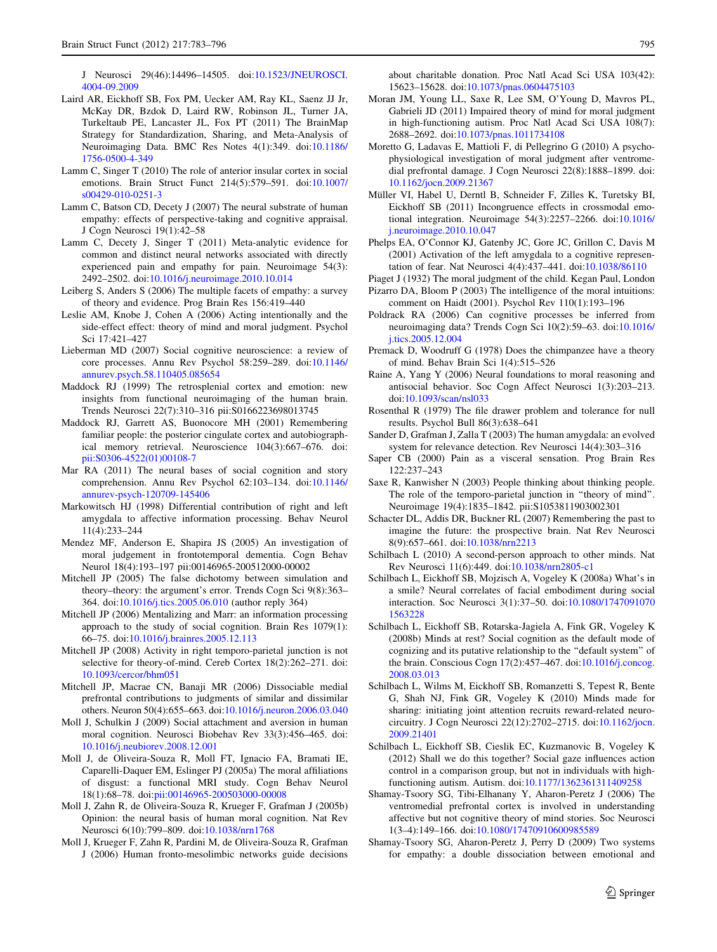<span id="page-12-0"></span>J Neurosci 29(46):14496–14505. doi:[10.1523/JNEUROSCI.](http://dx.doi.org/10.1523/JNEUROSCI.4004-09.2009) [4004-09.2009](http://dx.doi.org/10.1523/JNEUROSCI.4004-09.2009)

- Laird AR, Eickhoff SB, Fox PM, Uecker AM, Ray KL, Saenz JJ Jr, McKay DR, Bzdok D, Laird RW, Robinson JL, Turner JA, Turkeltaub PE, Lancaster JL, Fox PT (2011) The BrainMap Strategy for Standardization, Sharing, and Meta-Analysis of Neuroimaging Data. BMC Res Notes 4(1):349. doi[:10.1186/](http://dx.doi.org/10.1186/1756-0500-4-349) [1756-0500-4-349](http://dx.doi.org/10.1186/1756-0500-4-349)
- Lamm C, Singer T (2010) The role of anterior insular cortex in social emotions. Brain Struct Funct 214(5):579–591. doi[:10.1007/](http://dx.doi.org/10.1007/s00429-010-0251-3) [s00429-010-0251-3](http://dx.doi.org/10.1007/s00429-010-0251-3)
- Lamm C, Batson CD, Decety J (2007) The neural substrate of human empathy: effects of perspective-taking and cognitive appraisal. J Cogn Neurosci 19(1):42–58
- Lamm C, Decety J, Singer T (2011) Meta-analytic evidence for common and distinct neural networks associated with directly experienced pain and empathy for pain. Neuroimage 54(3): 2492–2502. doi[:10.1016/j.neuroimage.2010.10.014](http://dx.doi.org/10.1016/j.neuroimage.2010.10.014)
- Leiberg S, Anders S (2006) The multiple facets of empathy: a survey of theory and evidence. Prog Brain Res 156:419–440
- Leslie AM, Knobe J, Cohen A (2006) Acting intentionally and the side-effect effect: theory of mind and moral judgment. Psychol Sci 17:421–427
- Lieberman MD (2007) Social cognitive neuroscience: a review of core processes. Annu Rev Psychol 58:259–289. doi[:10.1146/](http://dx.doi.org/10.1146/annurev.psych.58.110405.085654) [annurev.psych.58.110405.085654](http://dx.doi.org/10.1146/annurev.psych.58.110405.085654)
- Maddock RJ (1999) The retrosplenial cortex and emotion: new insights from functional neuroimaging of the human brain. Trends Neurosci 22(7):310–316 pii:S0166223698013745
- Maddock RJ, Garrett AS, Buonocore MH (2001) Remembering familiar people: the posterior cingulate cortex and autobiographical memory retrieval. Neuroscience 104(3):667–676. doi: [pii:S0306-4522\(01\)00108-7](http://dx.doi.org/pii:S0306-4522(01)00108-7)
- Mar RA (2011) The neural bases of social cognition and story comprehension. Annu Rev Psychol 62:103–134. doi[:10.1146/](http://dx.doi.org/10.1146/annurev-psych-120709-145406) [annurev-psych-120709-145406](http://dx.doi.org/10.1146/annurev-psych-120709-145406)
- Markowitsch HJ (1998) Differential contribution of right and left amygdala to affective information processing. Behav Neurol 11(4):233–244
- Mendez MF, Anderson E, Shapira JS (2005) An investigation of moral judgement in frontotemporal dementia. Cogn Behav Neurol 18(4):193–197 pii:00146965-200512000-00002
- Mitchell JP (2005) The false dichotomy between simulation and theory–theory: the argument's error. Trends Cogn Sci 9(8):363– 364. doi:[10.1016/j.tics.2005.06.010](http://dx.doi.org/10.1016/j.tics.2005.06.010) (author reply 364)
- Mitchell JP (2006) Mentalizing and Marr: an information processing approach to the study of social cognition. Brain Res 1079(1): 66–75. doi[:10.1016/j.brainres.2005.12.113](http://dx.doi.org/10.1016/j.brainres.2005.12.113)
- Mitchell JP (2008) Activity in right temporo-parietal junction is not selective for theory-of-mind. Cereb Cortex 18(2):262–271. doi: [10.1093/cercor/bhm051](http://dx.doi.org/10.1093/cercor/bhm051)
- Mitchell JP, Macrae CN, Banaji MR (2006) Dissociable medial prefrontal contributions to judgments of similar and dissimilar others. Neuron 50(4):655–663. doi:[10.1016/j.neuron.2006.03.040](http://dx.doi.org/10.1016/j.neuron.2006.03.040)
- Moll J, Schulkin J (2009) Social attachment and aversion in human moral cognition. Neurosci Biobehav Rev 33(3):456–465. doi: [10.1016/j.neubiorev.2008.12.001](http://dx.doi.org/10.1016/j.neubiorev.2008.12.001)
- Moll J, de Oliveira-Souza R, Moll FT, Ignacio FA, Bramati IE, Caparelli-Daquer EM, Eslinger PJ (2005a) The moral affiliations of disgust: a functional MRI study. Cogn Behav Neurol 18(1):68–78. doi[:pii:00146965-200503000-00008](http://dx.doi.org/pii:00146965-200503000-00008)
- Moll J, Zahn R, de Oliveira-Souza R, Krueger F, Grafman J (2005b) Opinion: the neural basis of human moral cognition. Nat Rev Neurosci 6(10):799–809. doi[:10.1038/nrn1768](http://dx.doi.org/10.1038/nrn1768)
- Moll J, Krueger F, Zahn R, Pardini M, de Oliveira-Souza R, Grafman J (2006) Human fronto-mesolimbic networks guide decisions

about charitable donation. Proc Natl Acad Sci USA 103(42): 15623–15628. doi:[10.1073/pnas.0604475103](http://dx.doi.org/10.1073/pnas.0604475103)

- Moran JM, Young LL, Saxe R, Lee SM, O'Young D, Mavros PL, Gabrieli JD (2011) Impaired theory of mind for moral judgment in high-functioning autism. Proc Natl Acad Sci USA 108(7): 2688–2692. doi[:10.1073/pnas.1011734108](http://dx.doi.org/10.1073/pnas.1011734108)
- Moretto G, Ladavas E, Mattioli F, di Pellegrino G (2010) A psychophysiological investigation of moral judgment after ventromedial prefrontal damage. J Cogn Neurosci 22(8):1888–1899. doi: [10.1162/jocn.2009.21367](http://dx.doi.org/10.1162/jocn.2009.21367)
- Müller VI, Habel U, Derntl B, Schneider F, Zilles K, Turetsky BI, Eickhoff SB (2011) Incongruence effects in crossmodal emotional integration. Neuroimage 54(3):2257–2266. doi[:10.1016/](http://dx.doi.org/10.1016/j.neuroimage.2010.10.047) [j.neuroimage.2010.10.047](http://dx.doi.org/10.1016/j.neuroimage.2010.10.047)
- Phelps EA, O'Connor KJ, Gatenby JC, Gore JC, Grillon C, Davis M (2001) Activation of the left amygdala to a cognitive representation of fear. Nat Neurosci 4(4):437–441. doi[:10.1038/86110](http://dx.doi.org/10.1038/86110)
- Piaget J (1932) The moral judgment of the child. Kegan Paul, London
- Pizarro DA, Bloom P (2003) The intelligence of the moral intuitions: comment on Haidt (2001). Psychol Rev 110(1):193–196
- Poldrack RA (2006) Can cognitive processes be inferred from neuroimaging data? Trends Cogn Sci 10(2):59–63. doi[:10.1016/](http://dx.doi.org/10.1016/j.tics.2005.12.004) [j.tics.2005.12.004](http://dx.doi.org/10.1016/j.tics.2005.12.004)
- Premack D, Woodruff G (1978) Does the chimpanzee have a theory of mind. Behav Brain Sci 1(4):515–526
- Raine A, Yang Y (2006) Neural foundations to moral reasoning and antisocial behavior. Soc Cogn Affect Neurosci 1(3):203–213. doi[:10.1093/scan/nsl033](http://dx.doi.org/10.1093/scan/nsl033)
- Rosenthal R (1979) The file drawer problem and tolerance for null results. Psychol Bull 86(3):638–641
- Sander D, Grafman J, Zalla T (2003) The human amygdala: an evolved system for relevance detection. Rev Neurosci 14(4):303–316
- Saper CB (2000) Pain as a visceral sensation. Prog Brain Res 122:237–243
- Saxe R, Kanwisher N (2003) People thinking about thinking people. The role of the temporo-parietal junction in ''theory of mind''. Neuroimage 19(4):1835–1842. pii:S1053811903002301
- Schacter DL, Addis DR, Buckner RL (2007) Remembering the past to imagine the future: the prospective brain. Nat Rev Neurosci 8(9):657–661. doi[:10.1038/nrn2213](http://dx.doi.org/10.1038/nrn2213)
- Schilbach L (2010) A second-person approach to other minds. Nat Rev Neurosci 11(6):449. doi:[10.1038/nrn2805-c1](http://dx.doi.org/10.1038/nrn2805-c1)
- Schilbach L, Eickhoff SB, Mojzisch A, Vogeley K (2008a) What's in a smile? Neural correlates of facial embodiment during social interaction. Soc Neurosci 3(1):37–50. doi:[10.1080/1747091070](http://dx.doi.org/10.1080/17470910701563228) [1563228](http://dx.doi.org/10.1080/17470910701563228)
- Schilbach L, Eickhoff SB, Rotarska-Jagiela A, Fink GR, Vogeley K (2008b) Minds at rest? Social cognition as the default mode of cognizing and its putative relationship to the ''default system'' of the brain. Conscious Cogn 17(2):457–467. doi[:10.1016/j.concog.](http://dx.doi.org/10.1016/j.concog.2008.03.013) [2008.03.013](http://dx.doi.org/10.1016/j.concog.2008.03.013)
- Schilbach L, Wilms M, Eickhoff SB, Romanzetti S, Tepest R, Bente G, Shah NJ, Fink GR, Vogeley K (2010) Minds made for sharing: initiating joint attention recruits reward-related neurocircuitry. J Cogn Neurosci 22(12):2702–2715. doi:[10.1162/jocn.](http://dx.doi.org/10.1162/jocn.2009.21401) [2009.21401](http://dx.doi.org/10.1162/jocn.2009.21401)
- Schilbach L, Eickhoff SB, Cieslik EC, Kuzmanovic B, Vogeley K (2012) Shall we do this together? Social gaze influences action control in a comparison group, but not in individuals with highfunctioning autism. Autism. doi:[10.1177/1362361311409258](http://dx.doi.org/10.1177/1362361311409258)
- Shamay-Tsoory SG, Tibi-Elhanany Y, Aharon-Peretz J (2006) The ventromedial prefrontal cortex is involved in understanding affective but not cognitive theory of mind stories. Soc Neurosci 1(3–4):149–166. doi:[10.1080/17470910600985589](http://dx.doi.org/10.1080/17470910600985589)
- Shamay-Tsoory SG, Aharon-Peretz J, Perry D (2009) Two systems for empathy: a double dissociation between emotional and